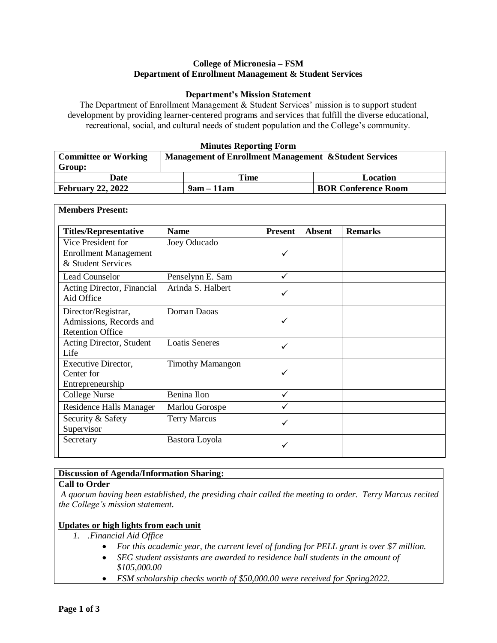### **College of Micronesia – FSM Department of Enrollment Management & Student Services**

# **Department's Mission Statement**

The Department of Enrollment Management & Student Services' mission is to support student development by providing learner-centered programs and services that fulfill the diverse educational, recreational, social, and cultural needs of student population and the College's community.

#### **Minutes Reporting Form**

| <b>Committee or Working</b> | <b>Management of Enrollment Management &amp; Student Services</b> |              |                            |
|-----------------------------|-------------------------------------------------------------------|--------------|----------------------------|
| Group:                      |                                                                   |              |                            |
| Date                        |                                                                   | Time         | Location                   |
| February 22, $2022$         |                                                                   | $9am - 11am$ | <b>BOR Conference Room</b> |

#### **Members Present: Titles/Representative Name Present Absent Remarks** Vice President for Enrollment Management & Student Services Joey Oducado  $\checkmark$ Lead Counselor Penselynn E. Sam ↓ ↓ Acting Director, Financial Aid Office Arinda S. Halbert Director/Registrar, Admissions, Records and Retention Office Doman Daoas  $\checkmark$ Acting Director, Student Life Loatis Seneres Executive Director, Center for Entrepreneurship Timothy Mamangon ✓  $\text{College Nurse}$  Benina Ilon  $\checkmark$ Residence Halls Manager | Marlou Gorospe Security & Safety Supervisor Terry Marcus and the set of the set of the set of the set of the set of the set of the set of the set of the set of the set of the set of the set of the set of the set of the set of the set of the set of the set of the set Secretary Bastora Loyola V

# **Discussion of Agenda/Information Sharing:**

# **Call to Order**

*A quorum having been established, the presiding chair called the meeting to order. Terry Marcus recited the College's mission statement.* 

# **Updates or high lights from each unit**

- *1. .Financial Aid Office*
	- *For this academic year, the current level of funding for PELL grant is over \$7 million.*
	- *SEG student assistants are awarded to residence hall students in the amount of \$105,000.00*
	- *FSM scholarship checks worth of \$50,000.00 were received for Spring2022.*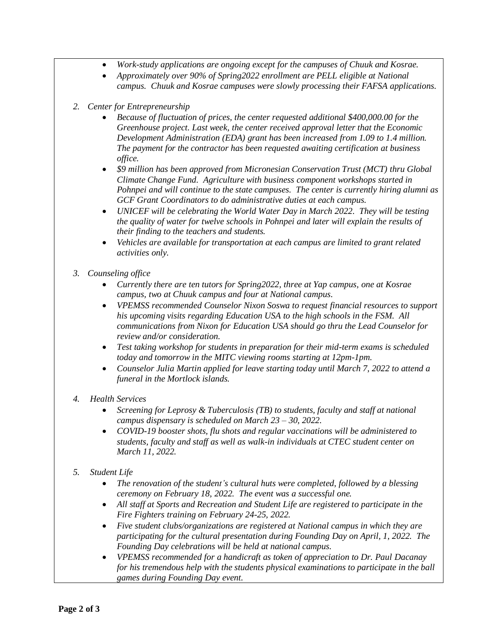- *Work-study applications are ongoing except for the campuses of Chuuk and Kosrae.*
- *Approximately over 90% of Spring2022 enrollment are PELL eligible at National campus. Chuuk and Kosrae campuses were slowly processing their FAFSA applications.*
- *2. Center for Entrepreneurship*
	- *Because of fluctuation of prices, the center requested additional \$400,000.00 for the Greenhouse project. Last week, the center received approval letter that the Economic Development Administration (EDA) grant has been increased from 1.09 to 1.4 million. The payment for the contractor has been requested awaiting certification at business office.*
	- *\$9 million has been approved from Micronesian Conservation Trust (MCT) thru Global Climate Change Fund. Agriculture with business component workshops started in Pohnpei and will continue to the state campuses. The center is currently hiring alumni as GCF Grant Coordinators to do administrative duties at each campus.*
	- *UNICEF will be celebrating the World Water Day in March 2022. They will be testing the quality of water for twelve schools in Pohnpei and later will explain the results of their finding to the teachers and students.*
	- *Vehicles are available for transportation at each campus are limited to grant related activities only.*
- *3. Counseling office*
	- *Currently there are ten tutors for Spring2022, three at Yap campus, one at Kosrae campus, two at Chuuk campus and four at National campus.*
	- *VPEMSS recommended Counselor Nixon Soswa to request financial resources to support his upcoming visits regarding Education USA to the high schools in the FSM. All communications from Nixon for Education USA should go thru the Lead Counselor for review and/or consideration.*
	- *Test taking workshop for students in preparation for their mid-term exams is scheduled today and tomorrow in the MITC viewing rooms starting at 12pm-1pm.*
	- *Counselor Julia Martin applied for leave starting today until March 7, 2022 to attend a funeral in the Mortlock islands.*
- *4. Health Services*
	- *Screening for Leprosy & Tuberculosis (TB) to students, faculty and staff at national campus dispensary is scheduled on March 23 – 30, 2022.*
	- *COVID-19 booster shots, flu shots and regular vaccinations will be administered to students, faculty and staff as well as walk-in individuals at CTEC student center on March 11, 2022.*
- *5. Student Life*
	- *The renovation of the student's cultural huts were completed, followed by a blessing ceremony on February 18, 2022. The event was a successful one.*
	- *All staff at Sports and Recreation and Student Life are registered to participate in the Fire Fighters training on February 24-25, 2022.*
	- *Five student clubs/organizations are registered at National campus in which they are participating for the cultural presentation during Founding Day on April, 1, 2022. The Founding Day celebrations will be held at national campus.*
	- *VPEMSS recommended for a handicraft as token of appreciation to Dr. Paul Dacanay for his tremendous help with the students physical examinations to participate in the ball games during Founding Day event.*